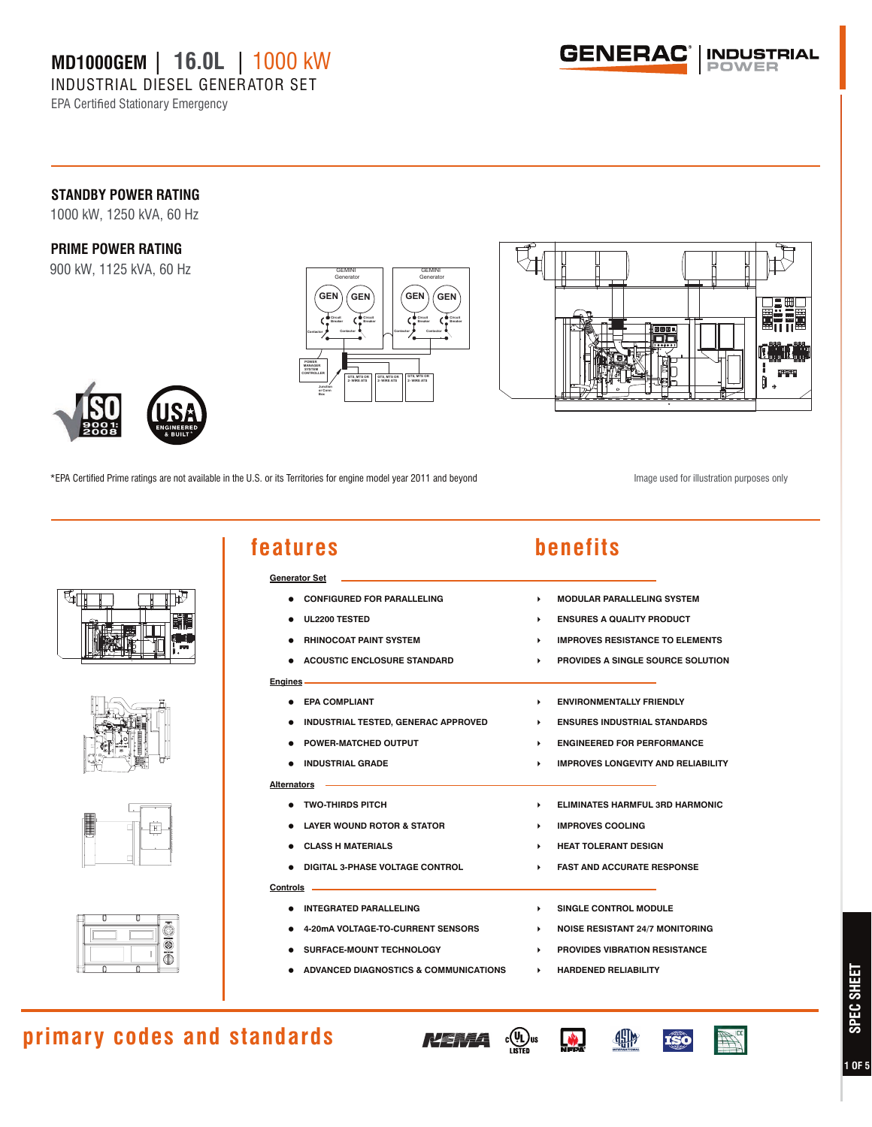INDUSTRIAL DIESEL GENERATOR SET

EPA Certified Stationary Emergency



### **STANDBY POWER RATING**

1000 kW, 1250 kVA, 60 Hz

### **PRIME POWER RATING**

900 kW, 1125 kVA, 60 Hz





\*EPA Certified Prime ratings are not available in the U.S. or its Territories for engine model year 2011 and beyond

Image used for illustration purposes only





| features                                | benefits                                            |
|-----------------------------------------|-----------------------------------------------------|
| Generator Set ____                      |                                                     |
| <b>• CONFIGURED FOR PARALLELING</b>     | <b>MODULAR PARALLELING SYSTEM</b><br>ь.             |
| UL2200 TESTED                           | <b>ENSURES A QUALITY PRODUCT</b><br>k.              |
| <b>• RHINOCOAT PAINT SYSTEM</b>         | <b>IMPROVES RESISTANCE TO ELEMENTS</b>              |
| <b>ACOUSTIC ENCLOSURE STANDARD</b>      | PROVIDES A SINGLE SOURCE SOLUTION<br>ь.             |
| Engines <u>_________</u>                |                                                     |
| <b>• EPA COMPLIANT</b>                  | <b>ENVIRONMENTALLY FRIENDLY</b><br>×.               |
| . INDUSTRIAL TESTED, GENERAC APPROVED   | <b>ENSURES INDUSTRIAL STANDARDS</b><br>$\mathbf{F}$ |
| <b>• POWER-MATCHED OUTPUT</b>           | <b>ENGINEERED FOR PERFORMANCE</b><br>ь.             |
| . INDUSTRIAL GRADE                      | <b>IMPROVES LONGEVITY AND RELIABILITY</b>           |
| Alternators —                           |                                                     |
| • TWO-THIRDS PITCH                      | <b>ELIMINATES HARMFUL 3RD HARMONIC</b><br>×.        |
| <b>• LAYER WOUND ROTOR &amp; STATOR</b> | <b>IMPROVES COOLING</b><br>ь.                       |
| <b>CLASS H MATERIALS</b>                | <b>HEAT TOLERANT DESIGN</b>                         |
| . DIGITAL 3-PHASE VOLTAGE CONTROL       | <b>FAST AND ACCURATE RESPONSE</b><br>ь.             |
| Controls _______                        |                                                     |
| <b>. INTEGRATED PARALLELING</b>         | SINGLE CONTROL MODULE<br>ь.                         |
| 4-20mA VOLTAGE-TO-CURRENT SENSORS       | <b>NOISE RESISTANT 24/7 MONITORING</b><br>×.        |
| <b>SURFACE-MOUNT TECHNOLOGY</b>         | <b>PROVIDES VIBRATION RESISTANCE</b>                |
|                                         |                                                     |

**ADVANCED DIAGNOSTICS & COMMUNICATIONS**  $\rightarrow$  **HARDENED RELIABILITY** 

# **primary codes and standards**





49

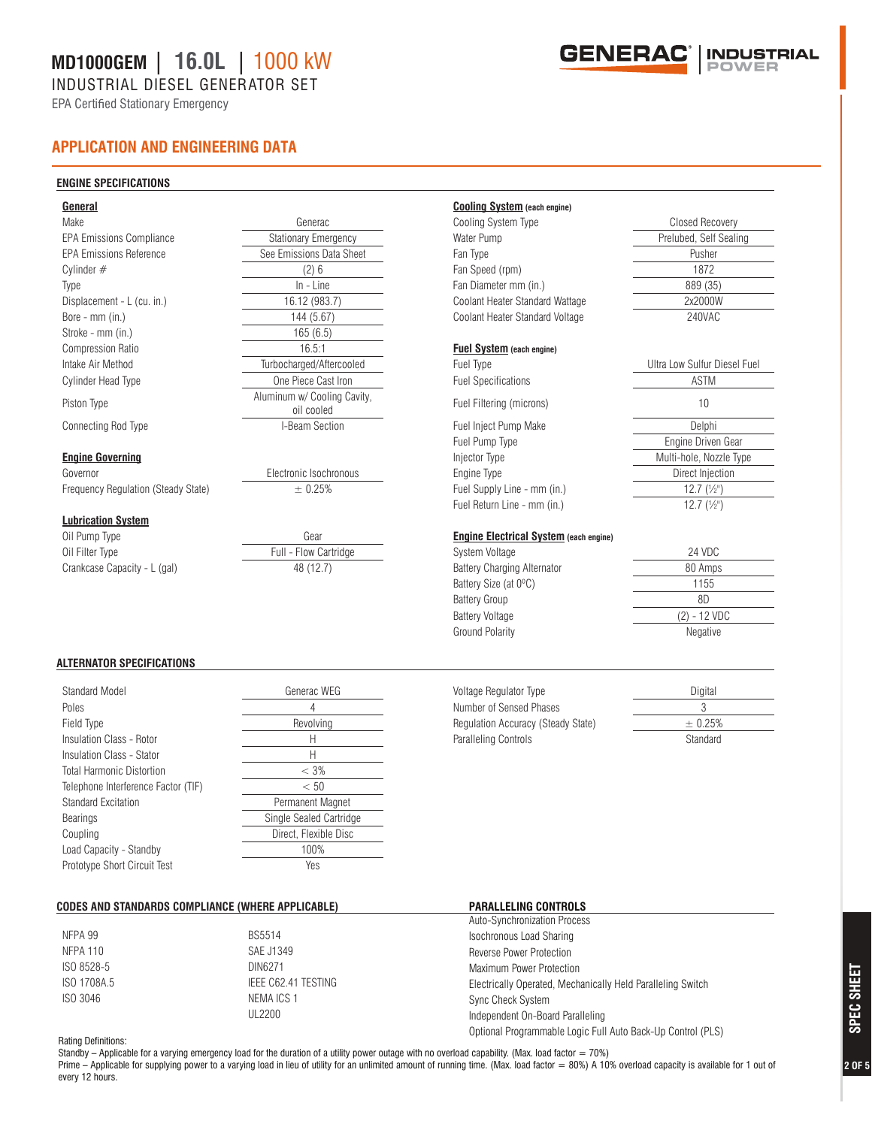INDUSTRIAL DIESEL GENERATOR SET

EPA Certified Stationary Emergency



#### **ENGINE SPECIFICATIONS**

| General                             |                                           | <b>Cooling System (each engine)</b>           |                                   |
|-------------------------------------|-------------------------------------------|-----------------------------------------------|-----------------------------------|
| Make                                | Generac                                   | Cooling System Type                           | Closed Recovery                   |
| <b>EPA Emissions Compliance</b>     | Stationary Emergency                      | Water Pump                                    | Prelubed, Self Sealing            |
| <b>EPA Emissions Reference</b>      | See Emissions Data Sheet                  | Fan Type                                      | Pusher                            |
| Cylinder $#$                        | (2)6                                      | Fan Speed (rpm)                               | 1872                              |
| Type                                | $In$ - Line                               | Fan Diameter mm (in.)                         | 889 (35)                          |
| Displacement - L (cu. in.)          | 16.12 (983.7)                             | Coolant Heater Standard Wattage               | 2x2000W                           |
| Bore - mm (in.)                     | 144 (5.67)                                | Coolant Heater Standard Voltage               | 240VAC                            |
| Stroke - mm (in.)                   | 165(6.5)                                  |                                               |                                   |
| <b>Compression Ratio</b>            | 16.5:1                                    | <b>Fuel System</b> (each engine)              |                                   |
| Intake Air Method                   | Turbocharged/Aftercooled                  | Fuel Type                                     | Ultra Low Sulfur Diesel Fuel      |
| <b>Cylinder Head Type</b>           | One Piece Cast Iron                       | <b>Fuel Specifications</b>                    | <b>ASTM</b>                       |
| Piston Type                         | Aluminum w/ Cooling Cavity,<br>oil cooled | Fuel Filtering (microns)                      | 10                                |
| Connecting Rod Type                 | I-Beam Section                            | Fuel Inject Pump Make                         | Delphi                            |
|                                     |                                           | Fuel Pump Type                                | Engine Driven Gear                |
| <b>Engine Governing</b>             |                                           | Injector Type                                 | Multi-hole, Nozzle Type           |
| Governor                            | Electronic Isochronous                    | Engine Type                                   | Direct Injection                  |
| Frequency Regulation (Steady State) | ± 0.25%                                   | Fuel Supply Line - mm (in.)                   | 12.7 $(\frac{1}{2})$              |
|                                     |                                           | Fuel Return Line - mm (in.)                   | $12.7$ $\left(\frac{1}{2}\right)$ |
| <b>Lubrication System</b>           |                                           |                                               |                                   |
| Oil Pump Type                       | Gear                                      | <b>Engine Electrical System (each engine)</b> |                                   |
| Oil Filter Type                     | Full - Flow Cartridge                     | System Voltage                                | 24 VDC                            |
| Crankcase Capacity - L (gal)        | 48 (12.7)                                 | <b>Battery Charging Alternator</b>            | 80 Amps                           |
|                                     |                                           | Battery Size (at 0°C)                         | 1155                              |
|                                     |                                           | <b>Battery Group</b>                          | 8D                                |
|                                     |                                           | <b>Battery Voltage</b>                        | $(2) - 12$ VDC                    |
|                                     |                                           | <b>Ground Polarity</b>                        | Negative                          |

#### **ALTERNATOR SPECIFICATIONS**

| Standard Model                      | Generac WEG             |
|-------------------------------------|-------------------------|
| Poles                               | 4                       |
| Field Type                          | Revolving               |
| Insulation Class - Rotor            | Н                       |
| Insulation Class - Stator           | Н                       |
| <b>Total Harmonic Distortion</b>    | $< 3\%$                 |
| Telephone Interference Factor (TIF) | < 50                    |
| Standard Excitation                 | Permanent Magnet        |
| Bearings                            | Single Sealed Cartridge |
| Coupling                            | Direct, Flexible Disc   |
| Load Capacity - Standby             | 100%                    |
| Prototype Short Circuit Test        | Yes                     |

#### **CODES AND STANDARDS COMPLIANCE (WHERE APPLICABLE)**

|                     | Auto-Synchronization Process                                |
|---------------------|-------------------------------------------------------------|
| <b>BS5514</b>       | Isochronous Load Sharing                                    |
| SAE J1349           | Reverse Power Protection                                    |
| DIN6271             | Maximum Power Protection                                    |
| IEEE C62.41 TESTING | Electrically Operated, Mechanically Held Paralleling Switch |
| NEMA ICS 1          | Sync Check System                                           |
| UL2200              | Independent On-Board Paralleling                            |
|                     | Optional Programmable Logic Full Auto Back-Up Control (PLS) |
|                     |                                                             |

**PARALLELING CONTROLS**

Voltage Regulator Type **Digital** Number of Sensed Phases 3 Regulation Accuracy (Steady State)  $\qquad \qquad \pm 0.25\%$ Paralleling Controls **Controls** Standard

#### Rating Definitions:

Standby - Applicable for a varying emergency load for the duration of a utility power outage with no overload capability. (Max. load factor = 70%) Prime - Applicable for supplying power to a varying load in lieu of utility for an unlimited amount of running time. (Max. load factor = 80%) A 10% overload capacity is available for 1 out of every 12 hours.

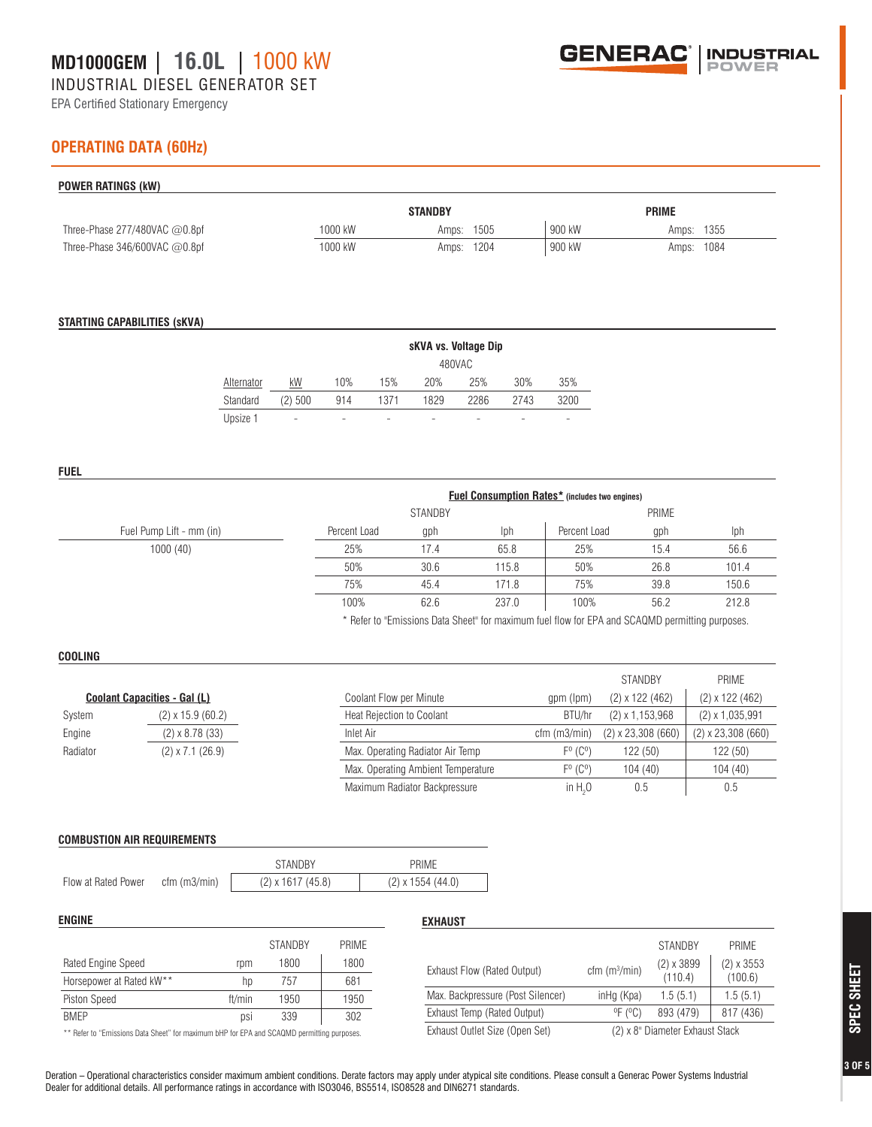INDUSTRIAL DIESEL GENERATOR SET

EPA Certified Stationary Emergency



### **OPERATING DATA (60Hz)**

| POWER RATINGS (kW)               |         |                |        |              |
|----------------------------------|---------|----------------|--------|--------------|
|                                  |         | <b>STANDBY</b> |        | <b>PRIME</b> |
| Three-Phase $277/480$ VAC @0.8pf | 1000 kW | 1505<br>Amps:  | 900 kW | Amps: 1355   |
| Three-Phase 346/600VAC $@0.8$ pf | 1000 kW | Amps: 1204     | 900 kW | Amps: 1084   |

#### **STARTING CAPABILITIES (sKVA)**

|            |         | sKVA vs. Voltage Dip |        |      |                          |      |      |  |
|------------|---------|----------------------|--------|------|--------------------------|------|------|--|
|            |         |                      | 480VAC |      |                          |      |      |  |
| Alternator | kW      | 10%                  | 15%    | 20%  | 25%                      | 30%  | 35%  |  |
| Standard   | (2) 500 | 914                  | 1371   | 1829 | 2286                     | 2743 | 3200 |  |
| Upsize 1   | -       | -                    |        | -    | $\overline{\phantom{a}}$ | ۰    | -    |  |

**FUEL**

|                          | <b>Fuel Consumption Rates*</b> (includes two engines) |                                |       |              |      |       |  |
|--------------------------|-------------------------------------------------------|--------------------------------|-------|--------------|------|-------|--|
|                          |                                                       | <b>STANDBY</b><br><b>PRIME</b> |       |              |      |       |  |
| Fuel Pump Lift - mm (in) | Percent Load                                          | gph                            | Iph   | Percent Load | gph  | Iph   |  |
| 1000(40)                 | 25%                                                   | 17.4                           | 65.8  | 25%          | 15.4 | 56.6  |  |
|                          | 50%                                                   | 30.6                           | 115.8 | 50%          | 26.8 | 101.4 |  |
|                          | 75%                                                   | 45.4                           | 171.8 | 75%          | 39.8 | 150.6 |  |
|                          | 100%                                                  | 62.6                           | 237.0 | 100%         | 56.2 | 212.8 |  |

\* Refer to "Emissions Data Sheet" for maximum fuel flow for EPA and SCAQMD permitting purposes.

#### **COOLING**

|                                     |                         |                                    |                             | <b>STANDBY</b>         | PRIME                  |
|-------------------------------------|-------------------------|------------------------------------|-----------------------------|------------------------|------------------------|
| <b>Coolant Capacities - Gal (L)</b> |                         | Coolant Flow per Minute            | gpm (lpm)                   | $(2) \times 122$ (462) | $(2) \times 122$ (462) |
| System                              | $(2)$ x 15.9 $(60.2)$   | Heat Rejection to Coolant          | BTU/hr                      | $(2) \times 1,153,968$ | $(2) \times 1,035,991$ |
| Engine                              | $(2) \times 8.78$ (33)  | Inlet Air                          | $cfm$ (m $3/min$ )          | $(2)$ x 23,308 (660)   | $(2)$ x 23,308 (660)   |
| Radiator                            | $(2) \times 7.1$ (26.9) | Max. Operating Radiator Air Temp   | $F^{\circ}$ ( $C^{\circ}$ ) | 122(50)                | 122 (50)               |
|                                     |                         | Max. Operating Ambient Temperature | $F^0$ ( $C^0$ )             | 104(40)                | 104 (40)               |
|                                     |                         | Maximum Radiator Backpressure      | in $H20$                    | 0.5                    | 0.5                    |

#### **COMBUSTION AIR REQUIREMENTS**

|                     |                | <b>STANDRY</b>           | PRIMF                 |
|---------------------|----------------|--------------------------|-----------------------|
| Flow at Rated Power | $cfm$ (m3/min) | $(2) \times 1617$ (45.8) | $(2)$ x 1554 $(44.0)$ |

| <b>ENGINE</b>                                                                              |        |                |              | <b>EXHAUST</b>                    |                              |                                 |                   |
|--------------------------------------------------------------------------------------------|--------|----------------|--------------|-----------------------------------|------------------------------|---------------------------------|-------------------|
|                                                                                            |        | <b>STANDBY</b> | <b>PRIME</b> |                                   |                              | <b>STANDBY</b>                  | PRIME             |
| Rated Engine Speed                                                                         | rpm    | 1800           | 1800         | Exhaust Flow (Rated Output)       | cfm(m <sup>3</sup> /min)     | $(2) \times 3899$               | $(2) \times 3553$ |
| Horsepower at Rated kW**                                                                   | hp     | 757            | 681          |                                   |                              | (110.4)                         | (100.6)           |
| Piston Speed                                                                               | ft/min | 1950           | 1950         | Max. Backpressure (Post Silencer) | inHq (Kpa)                   | 1.5(5.1)                        | .5(5.1)           |
| <b>BMEP</b>                                                                                | DSİ    | 339            | 302          | Exhaust Temp (Rated Output)       | $^{\circ}$ F ( $^{\circ}$ C) | 893 (479)                       | 817 (436)         |
| ** Refer to "Emissions Data Sheet" for maximum bHP for EPA and SCAQMD permitting purposes. |        |                |              | Exhaust Outlet Size (Open Set)    |                              | (2) x 8" Diameter Exhaust Stack |                   |

Deration – Operational characteristics consider maximum ambient conditions. Derate factors may apply under atypical site conditions. Please consult a Generac Power Systems Industrial Dealer for additional details. All performance ratings in accordance with ISO3046, BS5514, ISO8528 and DIN6271 standards.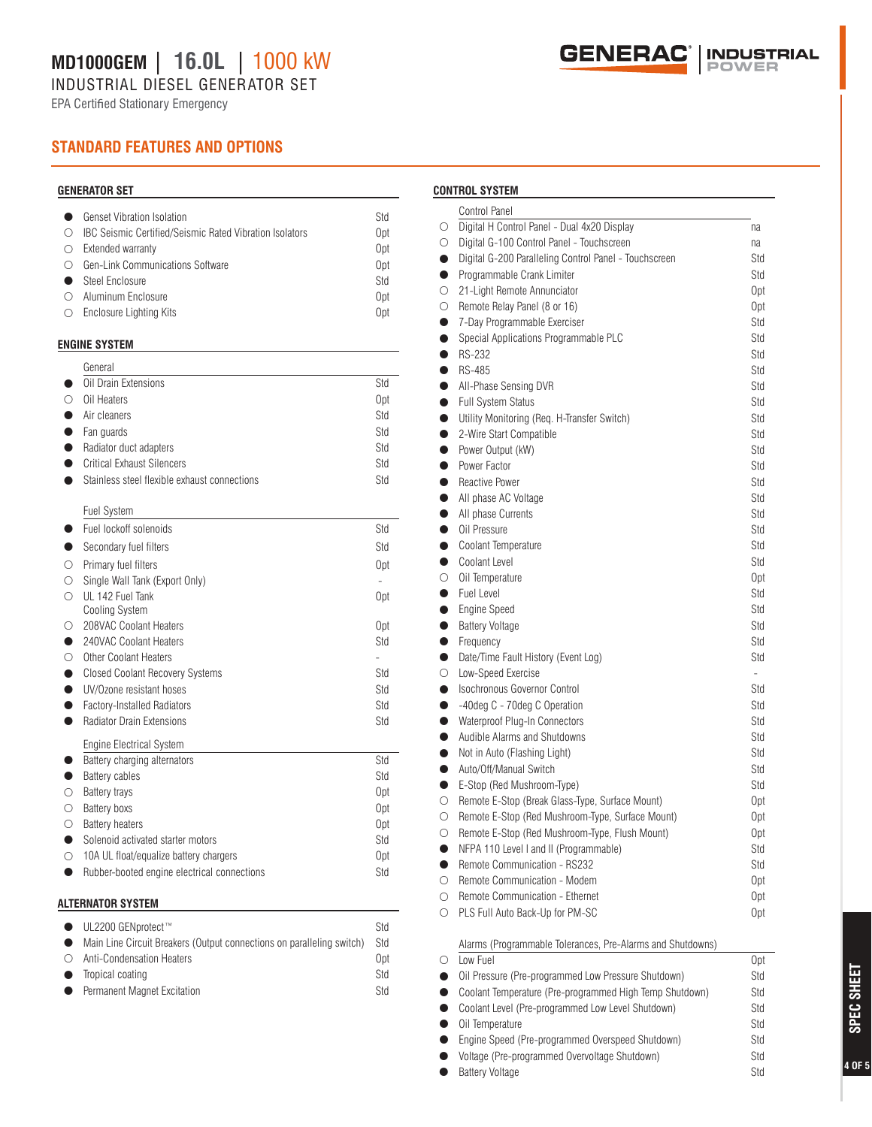INDUSTRIAL DIESEL GENERATOR SET

EPA Certified Stationary Emergency



### **STANDARD FEATURES AND OPTIONS**

#### **GENERATOR SET**

| <b>Genset Vibration Isolation</b>                              | Std             |
|----------------------------------------------------------------|-----------------|
| <b>IBC Seismic Certified/Seismic Rated Vibration Isolators</b> | 0pt             |
| Extended warranty                                              | 0 <sub>pt</sub> |
| Gen-Link Communications Software                               | 0 <sub>pt</sub> |
| Steel Enclosure                                                | Std             |
| Aluminum Enclosure                                             | 0pt             |
| Enclosure Lighting Kits                                        | 0 <sub>pt</sub> |

#### **ENGINE SYSTEM**

|              | General                                       |            |
|--------------|-----------------------------------------------|------------|
|              | Oil Drain Extensions                          | Std        |
| ∩            | Oil Heaters                                   | Opt        |
| ●            | Air cleaners                                  | Std        |
| $\bullet$    | Fan guards                                    | Std        |
|              | Radiator duct adapters                        | Std        |
|              | <b>Critical Exhaust Silencers</b>             | Std        |
|              | Stainless steel flexible exhaust connections  | Std        |
|              | <b>Fuel System</b>                            |            |
|              | Fuel lockoff solenoids                        | Std        |
| D            | Secondary fuel filters                        | Std        |
| $\bigcirc$   | Primary fuel filters                          | 0pt        |
| $\circ$      | Single Wall Tank (Export Only)                |            |
| $\bigcirc$   | UL 142 Fuel Tank                              | 0pt        |
|              | <b>Cooling System</b>                         |            |
| О            | 208VAC Coolant Heaters                        | 0pt        |
| 6            | 240VAC Coolant Heaters                        | Std        |
| $\bigcirc$   | <b>Other Coolant Heaters</b>                  |            |
| $\bullet$    | <b>Closed Coolant Recovery Systems</b>        | Std        |
| $\bullet$    | UV/Ozone resistant hoses                      | Std        |
| $\bullet$    | <b>Factory-Installed Radiators</b>            | Std        |
| D            | <b>Radiator Drain Extensions</b>              | Std        |
|              | <b>Engine Electrical System</b>               |            |
|              | Battery charging alternators                  | Std        |
|              | Battery cables                                | Std        |
| Ω            | <b>Battery trays</b>                          | Opt        |
| О<br>$\circ$ | <b>Battery boxs</b><br><b>Battery heaters</b> | 0pt        |
| $\bullet$    | Solenoid activated starter motors             | 0pt<br>Std |
| O            | 10A UL float/equalize battery chargers        | 0pt        |
| D            | Rubber-booted engine electrical connections   | Std        |
|              |                                               |            |

#### **ALTERNATOR SYSTEM**

|           | $\bullet$ UL2200 GENprotect <sup>™</sup>                              | Std |
|-----------|-----------------------------------------------------------------------|-----|
| $\bullet$ | Main Line Circuit Breakers (Output connections on paralleling switch) | Std |
|           | ○ Anti-Condensation Heaters                                           | Opt |
|           | • Tropical coating                                                    | Std |
| $\bullet$ | Permanent Magnet Excitation                                           | Std |

#### **CONTROL SYSTEM**

|           | Control Panel                                              |                          |
|-----------|------------------------------------------------------------|--------------------------|
| О         | Digital H Control Panel - Dual 4x20 Display                | na                       |
| $\circ$   | Digital G-100 Control Panel - Touchscreen                  | na                       |
| $\bullet$ | Digital G-200 Paralleling Control Panel - Touchscreen      | Std                      |
| $\bullet$ | Programmable Crank Limiter                                 | Std                      |
| $\circ$   | 21-Light Remote Annunciator                                | Opt                      |
| О         | Remote Relay Panel (8 or 16)                               | Opt                      |
| $\bullet$ | 7-Day Programmable Exerciser                               | Std                      |
| $\bullet$ | Special Applications Programmable PLC                      | Std                      |
| $\bullet$ | <b>RS-232</b>                                              | Std                      |
| $\bullet$ | <b>RS-485</b>                                              | Std                      |
| $\bullet$ | All-Phase Sensing DVR                                      | Std                      |
| $\bullet$ | <b>Full System Status</b>                                  | Std                      |
| $\bullet$ | Utility Monitoring (Req. H-Transfer Switch)                | Std                      |
| $\bullet$ | 2-Wire Start Compatible                                    | Std                      |
| $\bullet$ | Power Output (kW)                                          | Std                      |
| $\bullet$ | Power Factor                                               | Std                      |
| $\bullet$ | <b>Reactive Power</b>                                      | Std                      |
| $\bullet$ | All phase AC Voltage                                       | Std                      |
| $\bullet$ | All phase Currents                                         | Std                      |
| $\bullet$ | Oil Pressure                                               | Std                      |
| $\bullet$ | Coolant Temperature                                        | Std                      |
| $\bullet$ | Coolant Level                                              | Std                      |
| $\circ$   | Oil Temperature                                            | 0pt                      |
| $\bullet$ | Fuel Level                                                 | Std                      |
| $\bullet$ | <b>Engine Speed</b>                                        | Std                      |
| $\bullet$ | <b>Battery Voltage</b>                                     | Std                      |
| $\bullet$ | Frequency                                                  | Std                      |
| $\bullet$ | Date/Time Fault History (Event Log)                        | Std                      |
| $\circ$   | Low-Speed Exercise                                         | $\overline{\phantom{a}}$ |
| $\bullet$ | <b>Isochronous Governor Control</b>                        | Std                      |
| $\bullet$ | -40deg C - 70deg C Operation                               | Std                      |
| $\bullet$ | Waterproof Plug-In Connectors                              | Std                      |
| $\bullet$ | Audible Alarms and Shutdowns                               | Std                      |
| $\bullet$ | Not in Auto (Flashing Light)                               | Std                      |
| $\bullet$ | Auto/Off/Manual Switch                                     | Std                      |
| $\bullet$ | E-Stop (Red Mushroom-Type)                                 | Std                      |
| $\circ$   | Remote E-Stop (Break Glass-Type, Surface Mount)            | Opt                      |
| $\circ$   | Remote E-Stop (Red Mushroom-Type, Surface Mount)           | Opt                      |
| $\circ$   | Remote E-Stop (Red Mushroom-Type, Flush Mount)             | 0pt                      |
| $\bullet$ | NFPA 110 Level I and II (Programmable)                     | Std                      |
| $\bullet$ | Remote Communication - RS232                               | Std                      |
| $\circ$   | Remote Communication - Modem                               | 0pt                      |
| $\circ$   | Remote Communication - Ethernet                            | 0pt                      |
| $\circ$   | PLS Full Auto Back-Up for PM-SC                            | 0pt                      |
|           | Alarms (Programmable Tolerances, Pre-Alarms and Shutdowns) |                          |

| Alarms (Programmable Tolerances, Pre-Alarms and Shutdowns) |                                                         |     |
|------------------------------------------------------------|---------------------------------------------------------|-----|
|                                                            | Low Fuel                                                | 0pt |
|                                                            | Oil Pressure (Pre-programmed Low Pressure Shutdown)     | Std |
| $\bullet$                                                  | Coolant Temperature (Pre-programmed High Temp Shutdown) | Std |
| $\bullet$                                                  | Coolant Level (Pre-programmed Low Level Shutdown)       | Std |
| $\bullet$                                                  | Oil Temperature                                         | Std |
| $\bullet$                                                  | Engine Speed (Pre-programmed Overspeed Shutdown)        | Std |
| $\bullet$                                                  | Voltage (Pre-programmed Overvoltage Shutdown)           | Std |
| O                                                          | <b>Battery Voltage</b>                                  | Std |